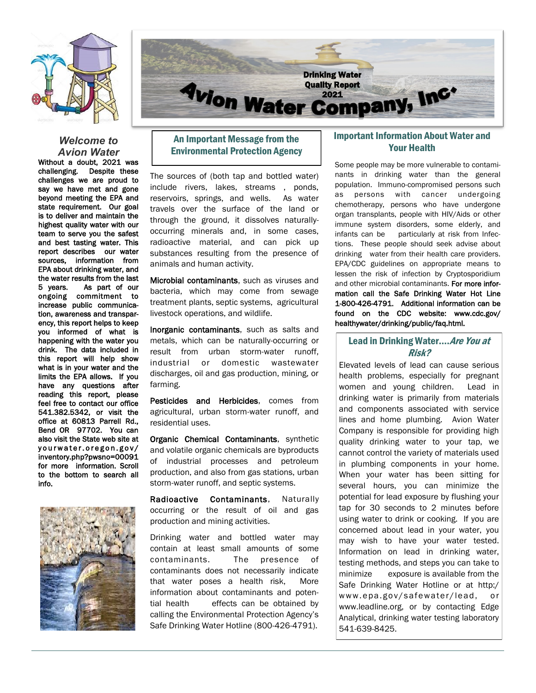



## *Welcome to Avion Water*

Without a doubt, 2021 was challenging. Despite these challenges we are proud to say we have met and gone beyond meeting the EPA and state requirement. Our goal is to deliver and maintain the highest quality water with our team to serve you the safest and best tasting water. This report describes our water sources, information from EPA about drinking water, and the water results from the last 5 years. As part of our ongoing commitment to increase public communication, awareness and transparency, this report helps to keep you informed of what is happening with the water you drink. The data included in this report will help show what is in your water and the limits the EPA allows. If you have any questions after reading this report, please feel free to contact our office 541.382.5342, or visit the office at 60813 Parrell Rd., Bend OR 97702. You can also visit the State web site at yourwater.oregon.gov/ inventory.php?pwsno=00091 for more information. Scroll to the bottom to search all info.



## An Important Message from the Environmental Protection Agency

The sources of (both tap and bottled water) include rivers, lakes, streams , ponds, reservoirs, springs, and wells. As water travels over the surface of the land or through the ground, it dissolves naturallyoccurring minerals and, in some cases, radioactive material, and can pick up substances resulting from the presence of animals and human activity.

Microbial contaminants, such as viruses and bacteria, which may come from sewage treatment plants, septic systems, agricultural livestock operations, and wildlife.

Inorganic contaminants, such as salts and metals, which can be naturally-occurring or result from urban storm-water runoff, industrial or domestic wastewater discharges, oil and gas production, mining, or farming.

Pesticides and Herbicides, comes from agricultural, urban storm-water runoff, and residential uses.

Organic Chemical Contaminants, synthetic and volatile organic chemicals are byproducts of industrial processes and petroleum production, and also from gas stations, urban storm-water runoff, and septic systems.

Radioactive Contaminants, Naturally occurring or the result of oil and gas production and mining activities.

Drinking water and bottled water may contain at least small amounts of some contaminants. The presence of contaminants does not necessarily indicate that water poses a health risk, More information about contaminants and potential health effects can be obtained by calling the Environmental Protection Agency's Safe Drinking Water Hotline (800-426-4791).

## Important Information About Water and Your Health

Some people may be more vulnerable to contaminants in drinking water than the general population. Immuno-compromised persons such as persons with cancer undergoing chemotherapy, persons who have undergone organ transplants, people with HIV/Aids or other immune system disorders, some elderly, and infants can be particularly at risk from Infections. These people should seek advise about drinking water from their health care providers. EPA/CDC guidelines on appropriate means to lessen the risk of infection by Cryptosporidium and other microbial contaminants. For more information call the Safe Drinking Water Hot Line 1-800-426-4791. Additional information can be found on the CDC website: www.cdc.gov/ healthywater/drinking/public/faq.html.

## Lead in Drinking Water.... Are You at Risk?

Elevated levels of lead can cause serious health problems, especially for pregnant women and young children. Lead in drinking water is primarily from materials and components associated with service lines and home plumbing. Avion Water Company is responsible for providing high quality drinking water to your tap, we cannot control the variety of materials used in plumbing components in your home. When your water has been sitting for several hours, you can minimize the potential for lead exposure by flushing your tap for 30 seconds to 2 minutes before using water to drink or cooking. If you are concerned about lead in your water, you may wish to have your water tested. Information on lead in drinking water, testing methods, and steps you can take to minimize exposure is available from the Safe Drinking Water Hotline or at http:/ www.epa.gov/safewater/lead, or www.leadline.org, or by contacting Edge Analytical, drinking water testing laboratory 541-639-8425.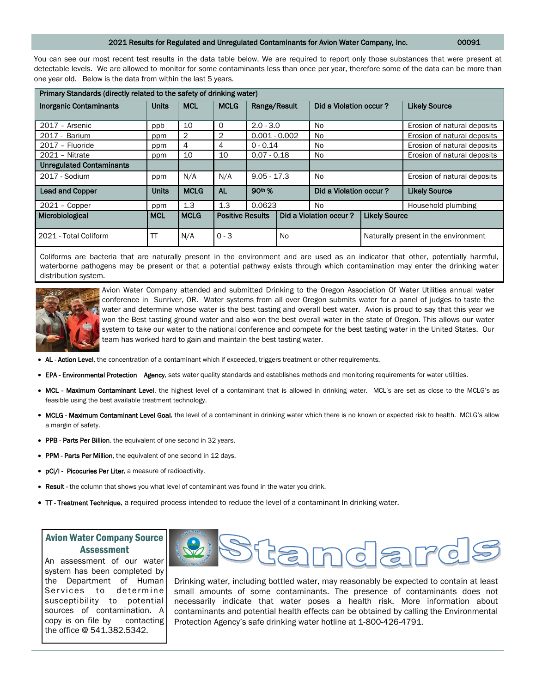#### 2021 Results for Regulated and Unregulated Contaminants for Avion Water Company, Inc. 00091

You can see our most recent test results in the data table below. We are required to report only those substances that were present at detectable levels. We are allowed to monitor for some contaminants less than once per year, therefore some of the data can be more than one year old. Below is the data from within the last 5 years.

| Primary Standards (directly related to the safety of drinking water) |              |                |                         |                    |    |                        |                                      |                             |
|----------------------------------------------------------------------|--------------|----------------|-------------------------|--------------------|----|------------------------|--------------------------------------|-----------------------------|
| <b>Inorganic Contaminants</b>                                        | <b>Units</b> | <b>MCL</b>     | <b>MCLG</b>             | Range/Result       |    | Did a Violation occur? |                                      | <b>Likely Source</b>        |
| $2017 -$ Arsenic                                                     | ppb          | 10             | 0                       | $2.0 - 3.0$        |    | N <sub>0</sub>         |                                      | Erosion of natural deposits |
| 2017 - Barium                                                        | ppm          | $\overline{2}$ | 2                       | $0.001 - 0.002$    |    | No.                    |                                      | Erosion of natural deposits |
| 2017 - Fluoride                                                      | ppm          | 4              | 4                       | $0 - 0.14$         |    | No                     |                                      | Erosion of natural deposits |
| 2021 - Nitrate                                                       | ppm          | 10             | 10                      | $0.07 - 0.18$      |    | No                     |                                      | Erosion of natural deposits |
| <b>Unregulated Contaminants</b>                                      |              |                |                         |                    |    |                        |                                      |                             |
| 2017 - Sodium                                                        | ppm          | N/A            | N/A                     | $9.05 - 17.3$      |    | No                     |                                      | Erosion of natural deposits |
| <b>Lead and Copper</b>                                               | <b>Units</b> | <b>MCLG</b>    | <b>AL</b>               | 90 <sup>th</sup> % |    | Did a Violation occur? |                                      | <b>Likely Source</b>        |
| $2021 - Copper$                                                      | ppm          | 1.3            | 1.3                     | 0.0623             |    | No.                    |                                      | Household plumbing          |
| Microbiological                                                      | <b>MCL</b>   | <b>MCLG</b>    | <b>Positive Results</b> |                    |    | Did a Violation occur? | <b>Likely Source</b>                 |                             |
| 2021 - Total Coliform                                                | TΤ           | N/A            | $0 - 3$                 |                    | No |                        | Naturally present in the environment |                             |

Coliforms are bacteria that are naturally present in the environment and are used as an indicator that other, potentially harmful, waterborne pathogens may be present or that a potential pathway exists through which contamination may enter the drinking water distribution system.



Avion Water Company attended and submitted Drinking to the Oregon Association Of Water Utilities annual water conference in Sunriver, OR. Water systems from all over Oregon submits water for a panel of judges to taste the water and determine whose water is the best tasting and overall best water. Avion is proud to say that this year we won the Best tasting ground water and also won the best overall water in the state of Oregon. This allows our water system to take our water to the national conference and compete for the best tasting water in the United States. Our team has worked hard to gain and maintain the best tasting water.

- AL Action Level, the concentration of a contaminant which if exceeded, triggers treatment or other requirements.
- EPA Environmental Protection Agency, sets water quality standards and establishes methods and monitoring requirements for water utilities.
- MCL Maximum Contaminant Level, the highest level of a contaminant that is allowed in drinking water. MCL's are set as close to the MCLG's as feasible using the best available treatment technology.
- MCLG Maximum Contaminant Level Goal, the level of a contaminant in drinking water which there is no known or expected risk to health. MCLG's allow a margin of safety.
- PPB Parts Per Billion. the equivalent of one second in 32 years.
- PPM Parts Per Million, the equivalent of one second in 12 days.
- pCi/I Picocuries Per Liter, a measure of radioactivity.
- Result the column that shows you what level of contaminant was found in the water you drink.
- $\Pi$  Treatment Technique, a required process intended to reduce the level of a contaminant In drinking water.

## Avion Water Company Source Assessment

An assessment of our water system has been completed by the Department of Human Services to determine susceptibility to potential sources of contamination. A copy is on file by contacting the office @ 541.382.5342.



Drinking water, including bottled water, may reasonably be expected to contain at least small amounts of some contaminants. The presence of contaminants does not necessarily indicate that water poses a health risk. More information about contaminants and potential health effects can be obtained by calling the Environmental Protection Agency's safe drinking water hotline at 1-800-426-4791.